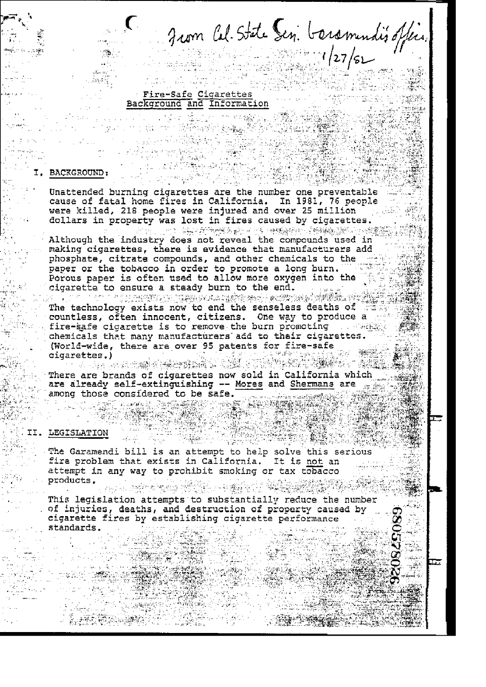Jum Cel. State Sen. boromendis office.

# Fire-Safe Cigarettes Background and Information

## **BACKGROUND:**

Unattended burning cigarettes are the number one preventable cause of fatal home fires in California. In 1981, 76 people were killed, 218 people were injured and over 25 million and dollars in property was lost in fires caused by cigarettes.

Although the industry does not reveal the compounds used in making cigarettes, there is evidence that manufacturers add phosphate, citrate compounds, and other chemicals to the set paper or the tobacco in order to promote a long burn. Porous paper is often used to allow more oxygen into the cigarette to ensure a steady burn to the end.

s for the state of presentation is a series of the series of the series of the series of the The technology exists now to end the senseless deaths of FE countless, often innocent, citizens. One way to produce a fire-safe cigarette is to remove the burn promoting weaked chemicals that many manufacturers add to their cigarettes. (World-wide, there are over 95 patents for fire-safe cigarettes.)

rettes.)<br>1940 – Adam Kortan Alexandro (1940-1940) There are brands of cigarettes now sold in California which are already self-extinguishing -- Mores and Shermans are  $\frac{1}{10}$ among those considered to be safe. 

#### II. LEGISLATION

The Garamendi bill is an attempt to help solve this serious fire problem that exists in California. It is not an attempt in any way to prohibit smoking or tax tobacco products. 

This legislation attempts to substantially reduce the number of injuries, deaths, and destruction of property caused by cigarette fires by establishing cigarette performance standards.

57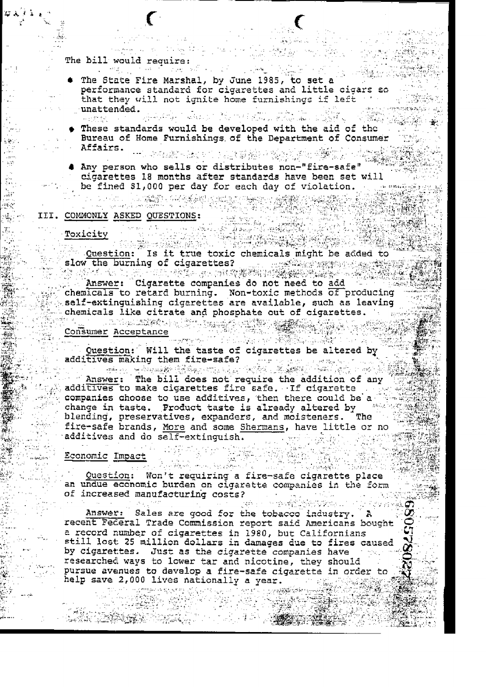The bill would require: 

The State Fire Marshal, by June 1985, to set a performance standard for cigarettes and little cigars so that they will not ignite home furnishings if left unattended.

 $\label{eq:11} \widetilde{G}(\mathfrak{g}_{\mathbb{C}}(\mathfrak{g}_{\mathbb{C}}))\overset{\cong}{\otimes}\bigoplus_{\mathfrak{m}\in\mathbb{Z}}\widetilde{G}(\mathfrak{m}^{\mathbb{C}})^{\otimes n}$ 

وبنيه كالإنا

- These standards would be developed with the aid of the Bureau of Home Furnishings of the Department of Consumer Affairs.
- 4 Any person who sells or distributes non-"fire-safe" be fined \$1,000 per day for each day of violation. The mediate

# MONLY ASKED QUESTIONS: III. COMMONLY ASKED QUESTIONS:

 $\label{eq:3.1} \mathcal{L}_{\mathcal{F}}\left(\mathcal{L}_{\mathcal{F}}^{\mathcal{F}}\left(\mathcal{L}_{\mathcal{F}}^{\mathcal{F}}\right)\right)=\mathcal{L}_{\mathcal{F}}\left(\mathcal{L}_{\mathcal{F}}^{\mathcal{F}}\right)$ 

Toxicity

. lii ще

xicity<br>
Question: Is it true toxic chemicals might be added to

slow the burning of cigarettes?<br>
Answer: Cigarette companies do not need to add Chemicals to retard burning. Non-toxic methods of producing<br>self-extinguishing cigarettes are available, such as leaving chemicals like citrate and phosphate out of cigarettes. We see

Consumer Acceptance<br>
Consumer Acceptance<br>
Question: Will the taste of cigarettes be altered by<br>
additives making them fire-safe?<br>
The bill does not require the addition of any<br>
additives: The bill does not require the addi additives to make cigarettes fire safe. If cigarette companies choose to use additives, then there could be a change in taste. Product taste is already altered by then diending, preservatives, expanders, and moisteners. The fire-safe brands, More and some Shermans, have little or no additives and do self-extinguish. The service of the second second service of the second service of the series

Economic Impact

Question: Won't requiring a fire-safe cigarette place an undue economic burden on cigarette companies in the form of increased manufacturing costs?  $\mathcal{L}(\mathcal{L})$  and  $\mathcal{L}(\mathcal{L})$  and  $\mathcal{L}(\mathcal{L})$ 

 $\frac{1}{2} \sigma_{\rm{max}}$ 

Safe ya su f

the State of Alberta Control of

Answer: Sales are good for the tobacco industry. A recent Federal Trade Commission report said Americans bought a record number of cigarettes in 1980, but Californians still lost 25 million dollars in damages due to fires caused by cigarettes. Just as the cigarette companies have the researched ways to lower tar and nicotine, they should pursue avenues to develop a fire-safe cigarette in order to help save 2,000 lives nationally a year.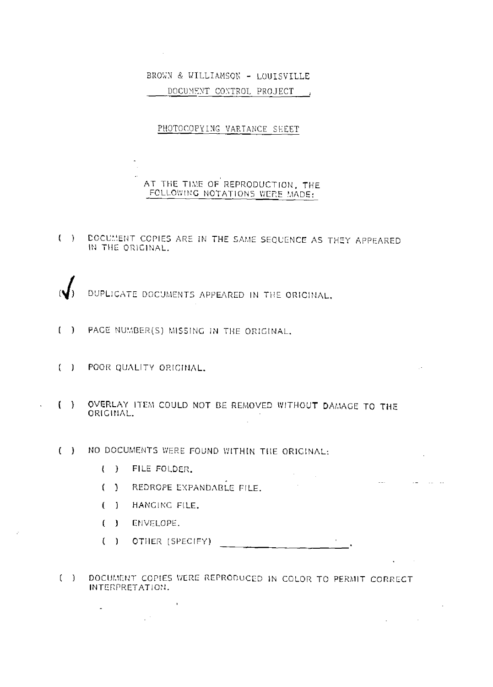# BROWN & WILLIAMSON - LOUISVILLE DOCUMENT CONTROL PROJECT

# PHOTOCOPYING VARIANCE SHEET

# AT THE TIME OF REPRODUCTION, THE FOLLOWING NOTATIONS WERE MADE:

( ) DOCUMENT COPIES ARE IN THE SAME SEQUENCE AS THEY APPEARED IN THE ORIGINAL.

DUPLICATE DOCUMENTS APPEARED IN THE ORIGINAL,

- ( ) PACE NUMBER(S) MISSING IN THE ORIGINAL.
- ( ) POOR QUALITY ORIGINAL.
- OVERLAY ITEM COULD NOT BE REMOVED WITHOUT DAMAGE TO THE  $( )$ ORIGINAL.

 $\sim$   $\sim$ 

 $\mathcal{A} = \{ \mathcal{A} \mid \mathcal{A} \in \mathcal{A} \}$ 

 $\mathbf{L}$ 

 $\mathcal{L}_{\text{max}}$  and  $\mathcal{L}_{\text{max}}$  . The  $\mathcal{L}_{\text{max}}$ 

- ( ) NO DOCUMENTS WERE FOUND WITHIN THE ORIGINAL:
	- ( ) FILE FOLDER.
	- REDROPE EXPANDABLE FILE.  $($

 $\mathbf{I}$ 

 $\mathbf{C}$ ) HANGING FILE.

 $\frac{1}{2} \int_{0}^{2\pi} \frac{1}{2} \left( \frac{1}{2} \right) \left( \frac{1}{2} \right) \, d\mu$ 

- ( ) ENVELOPE.
- ( ) OTHER (SPECIFY)
- ( ) DOCUMENT COPIES WERE REPRODUCED IN COLOR TO PERMIT CORRECT INTERPRETATION.

 $\sim 100$  km s  $^{-1}$ 

 $\mathcal{L}^{\text{max}}_{\text{max}}$ 

 $\mathbb{R}^2$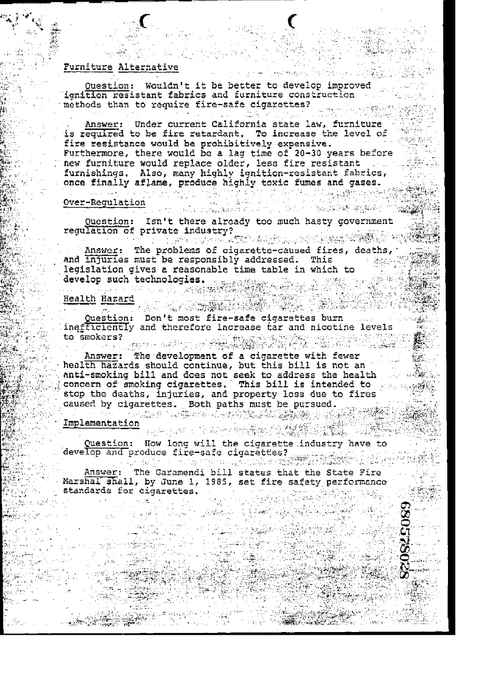## Furniture Alternative

Question: Wouldn't it be better to develop improved ignition resistant fabrics and furniture construction

5. (1) (1) 12:45 (1) 13

· Free Construction Profits in Louis (開発)

methods than to require fire-safe cigarettes?<br>Answer: Under current California state law, furniture is required to be fire retardant. To increase the level of فالجانب القاربان fire resistance would be prohibitively expensive. Furthermore, there would be a lag time of 20-30 years before new furniture would replace older, less fire resistant with furnishings. Also, many highly ignition-resistant fabrics, once finally aflame, produce highly toxic fumes and gases.

# over-Regulation and the state of the state of the state of the state of the state of the state of the state of<br>Cover-Regulation  $\frac{\dot{\mathbf{n}}}{\mathbf{n}}$  . The set of the set of the set of the set of the set of the set of the set of the set of the set of the set of the set of the set of the set of the set of the set of the set of the set of the set of the

Question: Isn't there already too much hasty government regulation of private industry?

TE TE SATETY TO A SAN A SAN A SAN SAN A SAN A SAN A SA Answer: The problems of cigarette-caused fires, deaths, and injuries must be responsibly addressed. This<br>legislation gives a reasonable time table in which to

develop such technologies.<br>
Health Hazard<br>
Question: Don't most fire-safe cigarettes burn inefficiently and therefore increase tar and nicotine levels to smokers?

Answer: The development of a cigarette with fewer health hazards should continue, but this bill is not an nati-smoking bill and does not seek to address the health<br>concern of smoking cigarettes. This bill is intended to<br>stop the deaths, injuries, and property loss due to fires caused by cigarettes. Both paths must be pursued. 

Implementation

**西西** 

计数据

 $\label{eq:1} \frac{\partial \mathcal{L}_{\text{M}}}{\partial \mathcal{L}_{\text{M}}}\left(\frac{1}{\mathcal{L}}\right) \leq \frac{1}{\mathcal{L}_{\text{M}}}\left(\frac{1}{\mathcal{L}}\right)$ 

Standardina.<br>Rođenja

Question: How long will the cigarette industry have to develop and produce fire-safe cigarettes?<br>The same of the safe cigarettes?

Answer: The Garamendi bill states that the State Fire Marshal shall, by June 1, 1985, set fire safety performance standards for cigarettes. 

i<br>Prové